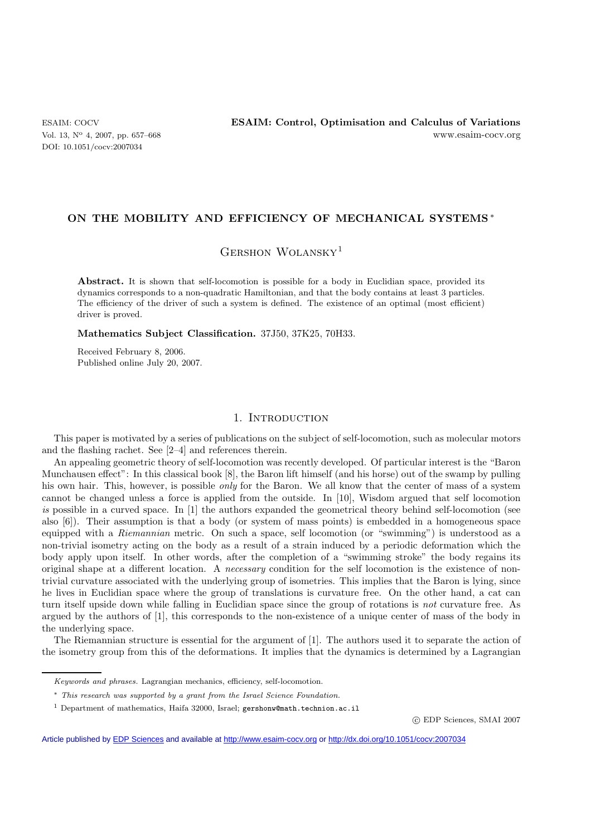DOI: 10.1051/cocv:2007034

## **ON THE MOBILITY AND EFFICIENCY OF MECHANICAL SYSTEMS** ∗

GERSHON WOLANSKY<sup>1</sup>

**Abstract.** It is shown that self-locomotion is possible for a body in Euclidian space, provided its dynamics corresponds to a non-quadratic Hamiltonian, and that the body contains at least 3 particles. The efficiency of the driver of such a system is defined. The existence of an optimal (most efficient) driver is proved.

**Mathematics Subject Classification.** 37J50, 37K25, 70H33.

Received February 8, 2006. Published online July 20, 2007.

## 1. INTRODUCTION

This paper is motivated by a series of publications on the subject of self-locomotion, such as molecular motors and the flashing rachet. See [2–4] and references therein.

An appealing geometric theory of self-locomotion was recently developed. Of particular interest is the "Baron Munchausen effect": In this classical book [8], the Baron lift himself (and his horse) out of the swamp by pulling his own hair. This, however, is possible *only* for the Baron. We all know that the center of mass of a system cannot be changed unless a force is applied from the outside. In [10], Wisdom argued that self locomotion *is* possible in a curved space. In [1] the authors expanded the geometrical theory behind self-locomotion (see also [6]). Their assumption is that a body (or system of mass points) is embedded in a homogeneous space equipped with a *Riemannian* metric. On such a space, self locomotion (or "swimming") is understood as a non-trivial isometry acting on the body as a result of a strain induced by a periodic deformation which the body apply upon itself. In other words, after the completion of a "swimming stroke" the body regains its original shape at a different location. A *necessary* condition for the self locomotion is the existence of nontrivial curvature associated with the underlying group of isometries. This implies that the Baron is lying, since he lives in Euclidian space where the group of translations is curvature free. On the other hand, a cat can turn itself upside down while falling in Euclidian space since the group of rotations is *not* curvature free. As argued by the authors of [1], this corresponds to the non-existence of a unique center of mass of the body in the underlying space.

The Riemannian structure is essential for the argument of [1]. The authors used it to separate the action of the isometry group from this of the deformations. It implies that the dynamics is determined by a Lagrangian

-c EDP Sciences, SMAI 2007

Article published by [EDP Sciences](http://www.edpsciences.org) and available at<http://www.esaim-cocv.org> or <http://dx.doi.org/10.1051/cocv:2007034>

Keywords and phrases. Lagrangian mechanics, efficiency, self-locomotion.

<sup>∗</sup> This research was supported by a grant from the Israel Science Foundation.

<sup>&</sup>lt;sup>1</sup> Department of mathematics, Haifa 32000, Israel; gershonw@math.technion.ac.il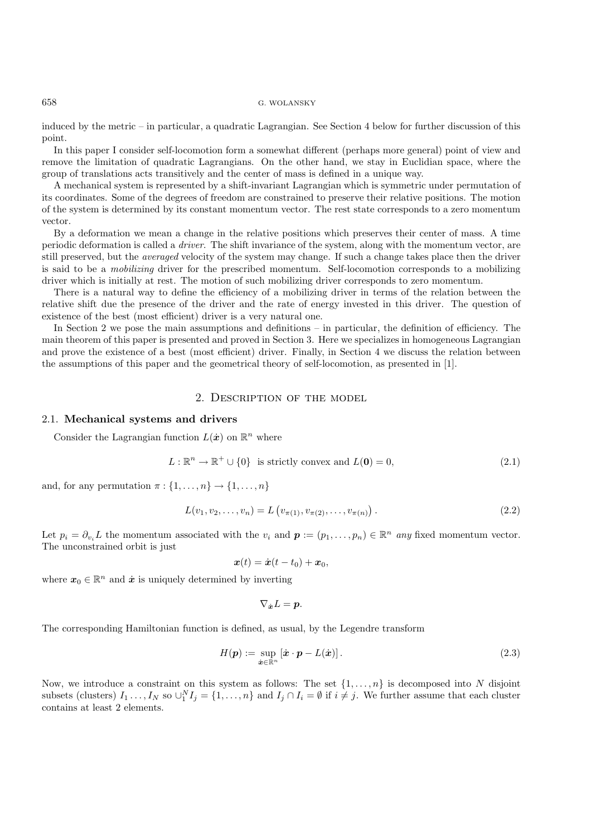#### 658 G. WOLANSKY

induced by the metric – in particular, a quadratic Lagrangian. See Section 4 below for further discussion of this point.

In this paper I consider self-locomotion form a somewhat different (perhaps more general) point of view and remove the limitation of quadratic Lagrangians. On the other hand, we stay in Euclidian space, where the group of translations acts transitively and the center of mass is defined in a unique way.

A mechanical system is represented by a shift-invariant Lagrangian which is symmetric under permutation of its coordinates. Some of the degrees of freedom are constrained to preserve their relative positions. The motion of the system is determined by its constant momentum vector. The rest state corresponds to a zero momentum vector.

By a deformation we mean a change in the relative positions which preserves their center of mass. A time periodic deformation is called a *driver*. The shift invariance of the system, along with the momentum vector, are still preserved, but the *averaged* velocity of the system may change. If such a change takes place then the driver is said to be a *mobilizing* driver for the prescribed momentum. Self-locomotion corresponds to a mobilizing driver which is initially at rest. The motion of such mobilizing driver corresponds to zero momentum.

There is a natural way to define the efficiency of a mobilizing driver in terms of the relation between the relative shift due the presence of the driver and the rate of energy invested in this driver. The question of existence of the best (most efficient) driver is a very natural one.

In Section 2 we pose the main assumptions and definitions – in particular, the definition of efficiency. The main theorem of this paper is presented and proved in Section 3. Here we specializes in homogeneous Lagrangian and prove the existence of a best (most efficient) driver. Finally, in Section 4 we discuss the relation between the assumptions of this paper and the geometrical theory of self-locomotion, as presented in [1].

# 2. Description of the model

#### 2.1. **Mechanical systems and drivers**

Consider the Lagrangian function  $L(\dot{x})$  on  $\mathbb{R}^n$  where

$$
L: \mathbb{R}^n \to \mathbb{R}^+ \cup \{0\} \text{ is strictly convex and } L(\mathbf{0}) = 0,
$$
\n
$$
(2.1)
$$

and, for any permutation  $\pi : \{1, \ldots, n\} \rightarrow \{1, \ldots, n\}$ 

$$
L(v_1, v_2, \dots, v_n) = L(v_{\pi(1)}, v_{\pi(2)}, \dots, v_{\pi(n)})
$$
\n(2.2)

Let  $p_i = \partial_{v_i} L$  the momentum associated with the  $v_i$  and  $p := (p_1, \ldots, p_n) \in \mathbb{R}^n$  any fixed momentum vector. The unconstrained orbit is just

$$
\boldsymbol{x}(t) = \dot{\boldsymbol{x}}(t - t_0) + \boldsymbol{x}_0,
$$

where  $x_0 \in \mathbb{R}^n$  and  $\dot{x}$  is uniquely determined by inverting

$$
\nabla_{\dot{\boldsymbol{x}}}L=\boldsymbol{p}.
$$

The corresponding Hamiltonian function is defined, as usual, by the Legendre transform

$$
H(\boldsymbol{p}) := \sup_{\dot{\boldsymbol{x}} \in \mathbb{R}^n} \left[ \dot{\boldsymbol{x}} \cdot \boldsymbol{p} - L(\dot{\boldsymbol{x}}) \right]. \tag{2.3}
$$

Now, we introduce a constraint on this system as follows: The set  $\{1,\ldots,n\}$  is decomposed into N disjoint subsets (clusters)  $I_1 \ldots, I_N$  so  $\cup_1^N I_j = \{1, \ldots, n\}$  and  $I_j \cap I_i = \emptyset$  if  $i \neq j$ . We further assume that each cluster contains at least 2 elements.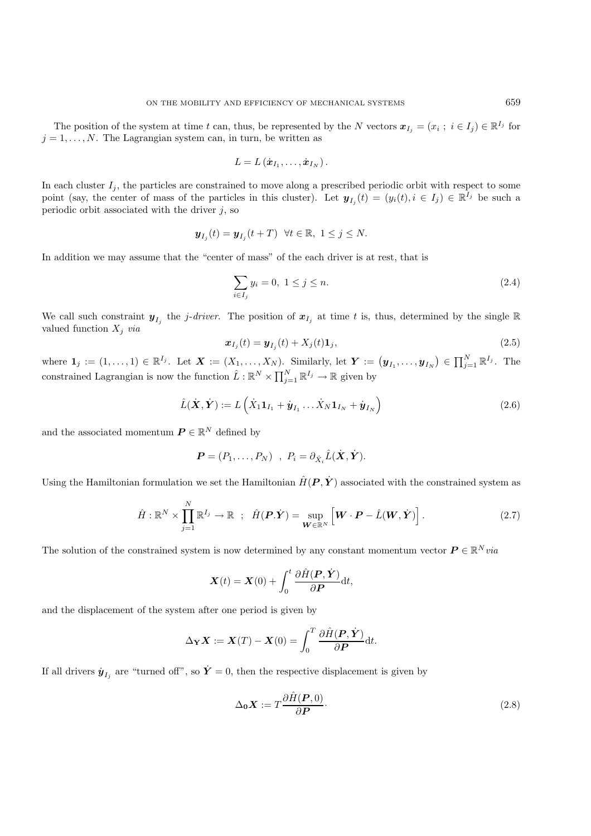The position of the system at time t can, thus, be represented by the N vectors  $x_{I_i} = (x_i ; i \in I_j) \in \mathbb{R}^{I_j}$  for  $j = 1, \ldots, N$ . The Lagrangian system can, in turn, be written as

$$
L=L(\dot{\boldsymbol{x}}_{I_1},\ldots,\dot{\boldsymbol{x}}_{I_N}).
$$

In each cluster  $I_j$ , the particles are constrained to move along a prescribed periodic orbit with respect to some point (say, the center of mass of the particles in this cluster). Let  $y_{I_i}(t)=(y_i(t), i \in I_j) \in \mathbb{R}^{I_j}$  be such a periodic orbit associated with the driver  $j$ , so

$$
\boldsymbol{y}_{I_j}(t) = \boldsymbol{y}_{I_j}(t+T) \ \ \forall t \in \mathbb{R}, \ 1 \leq j \leq N.
$$

In addition we may assume that the "center of mass" of the each driver is at rest, that is

$$
\sum_{i \in I_j} y_i = 0, \ 1 \le j \le n. \tag{2.4}
$$

We call such constraint  $y_{I_j}$  the j-driver. The position of  $x_{I_j}$  at time t is, thus, determined by the single R valued function  $X_j$  *via* 

$$
\boldsymbol{x}_{I_j}(t) = \boldsymbol{y}_{I_j}(t) + X_j(t)\mathbf{1}_j,\tag{2.5}
$$

where  $\mathbf{1}_j := (1,\ldots,1) \in \mathbb{R}^{I_j}$ . Let  $\boldsymbol{X} := (X_1,\ldots,X_N)$ . Similarly, let  $\boldsymbol{Y} := (\boldsymbol{y}_{I_1},\ldots,\boldsymbol{y}_{I_N}) \in \prod_{j=1}^N \mathbb{R}^{I_j}$ . The constrained Lagrangian is now the function  $\hat{L} : \mathbb{R}^N \times \prod_{j=1}^N \mathbb{R}^{I_j} \to \mathbb{R}$  given by

$$
\hat{L}(\dot{\boldsymbol{X}}, \dot{\boldsymbol{Y}}) := L\left(\dot{X}_1 \mathbf{1}_{I_1} + \dot{\boldsymbol{y}}_{I_1} \dots \dot{X}_N \mathbf{1}_{I_N} + \dot{\boldsymbol{y}}_{I_N}\right)
$$
\n(2.6)

and the associated momentum  $P \in \mathbb{R}^N$  defined by

$$
\boldsymbol{P} = (P_1, \ldots, P_N) \; , \; P_i = \partial_{\dot{X}_i} \hat{L}(\dot{\boldsymbol{X}}, \dot{\boldsymbol{Y}}).
$$

Using the Hamiltonian formulation we set the Hamiltonian  $\hat{H}(P, \dot{Y})$  associated with the constrained system as

$$
\hat{H} : \mathbb{R}^N \times \prod_{j=1}^N \mathbb{R}^{I_j} \to \mathbb{R} \; ; \; \hat{H}(\mathbf{P}.\dot{\mathbf{Y}}) = \sup_{\mathbf{W} \in \mathbb{R}^N} \left[ \mathbf{W} \cdot \mathbf{P} - \hat{L}(\mathbf{W}, \dot{\mathbf{Y}}) \right]. \tag{2.7}
$$

The solution of the constrained system is now determined by any constant momentum vector  $P \in \mathbb{R}^N$  *via* 

$$
\mathbf{X}(t) = \mathbf{X}(0) + \int_0^t \frac{\partial \hat{H}(\mathbf{P}, \dot{\mathbf{Y}})}{\partial \mathbf{P}} dt,
$$

and the displacement of the system after one period is given by

$$
\Delta_{\mathbf{Y}}\mathbf{X} := \mathbf{X}(T) - \mathbf{X}(0) = \int_0^T \frac{\partial \hat{H}(\mathbf{P}, \dot{\mathbf{Y}})}{\partial \mathbf{P}} dt.
$$

If all drivers  $\dot{\mathbf{y}}_{I_j}$  are "turned off", so  $\dot{\mathbf{Y}} = 0$ , then the respective displacement is given by

$$
\Delta_0 \mathbf{X} := T \frac{\partial \hat{H}(\mathbf{P}, 0)}{\partial \mathbf{P}}.
$$
\n(2.8)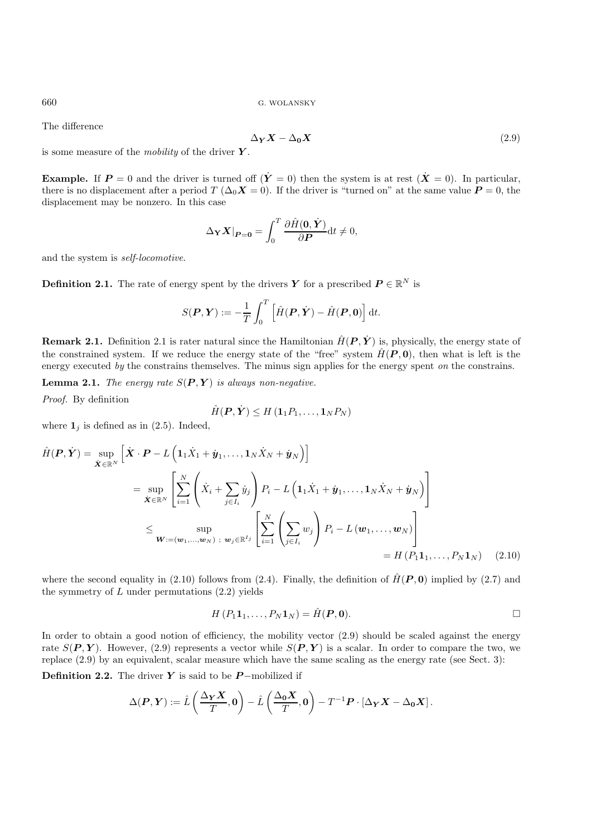The difference

$$
\Delta_Y X - \Delta_0 X \tag{2.9}
$$

is some measure of the *mobility* of the driver *Y* .

**Example.** If  $P = 0$  and the driver is turned off  $(Y = 0)$  then the system is at rest  $(X = 0)$ . In particular, there is no displacement after a period  $T(\Delta_0 \mathbf{X} = 0)$ . If the driver is "turned on" at the same value  $\mathbf{P} = 0$ , the displacement may be nonzero. In this case

$$
\Delta_{\mathbf{Y}} \mathbf{X} |_{\mathbf{P}=\mathbf{0}} = \int_0^T \frac{\partial \hat{H}(\mathbf{0}, \dot{\mathbf{Y}})}{\partial \mathbf{P}} dt \neq 0,
$$

and the system is *self-locomotive*.

**Definition 2.1.** The rate of energy spent by the drivers *Y* for a prescribed  $P \in \mathbb{R}^N$  is

$$
S(\boldsymbol{P}, \boldsymbol{Y}) := -\frac{1}{T} \int_0^T \left[ \hat{H}(\boldsymbol{P}, \dot{\boldsymbol{Y}}) - \hat{H}(\boldsymbol{P}, \boldsymbol{0}) \right] dt.
$$

**Remark 2.1.** Definition 2.1 is rater natural since the Hamiltonian  $\hat{H}(P, \dot{Y})$  is, physically, the energy state of the constrained system. If we reduce the energy state of the "free" system  $\hat{H}(P, 0)$ , then what is left is the energy executed *by* the constrains themselves. The minus sign applies for the energy spent *on* the constrains.

**Lemma 2.1.** *The energy rate*  $S(P, Y)$  *is always non-negative.* 

*Proof.* By definition

$$
\hat{H}(\boldsymbol{P},\dot{\boldsymbol{Y}}) \leq H\left(\boldsymbol{1}_1 P_1,\ldots,\boldsymbol{1}_N P_N\right)
$$

where  $\mathbf{1}_i$  is defined as in (2.5). Indeed,

$$
\hat{H}(\boldsymbol{P}, \dot{\boldsymbol{Y}}) = \sup_{\dot{\boldsymbol{X}} \in \mathbb{R}^N} \left[ \dot{\boldsymbol{X}} \cdot \boldsymbol{P} - L \left( \mathbf{1}_1 \dot{\boldsymbol{X}}_1 + \dot{\boldsymbol{y}}_1, \dots, \mathbf{1}_N \dot{\boldsymbol{X}}_N + \dot{\boldsymbol{y}}_N \right) \right]
$$
\n
$$
= \sup_{\dot{\boldsymbol{X}} \in \mathbb{R}^N} \left[ \sum_{i=1}^N \left( \dot{\boldsymbol{X}}_i + \sum_{j \in I_i} \dot{\boldsymbol{y}}_j \right) P_i - L \left( \mathbf{1}_1 \dot{\boldsymbol{X}}_1 + \dot{\boldsymbol{y}}_1, \dots, \mathbf{1}_N \dot{\boldsymbol{X}}_N + \dot{\boldsymbol{y}}_N \right) \right]
$$
\n
$$
\leq \sup_{\boldsymbol{W}:=(\boldsymbol{w}_1,\dots,\boldsymbol{w}_N) \; ; \; \boldsymbol{w}_j \in \mathbb{R}^{I_j}} \left[ \sum_{i=1}^N \left( \sum_{j \in I_i} w_j \right) P_i - L(\boldsymbol{w}_1, \dots, \boldsymbol{w}_N) \right]
$$
\n
$$
= H(P_1 \mathbf{1}_1, \dots, P_N \mathbf{1}_N) \quad (2.10)
$$

where the second equality in (2.10) follows from (2.4). Finally, the definition of  $\hat{H}(\mathbf{P}, \mathbf{0})$  implied by (2.7) and the symmetry of  $L$  under permutations  $(2.2)$  yields

$$
H(P_11_1,\ldots,P_N1_N)=\hat{H}(\boldsymbol{P},\boldsymbol{0}).
$$

In order to obtain a good notion of efficiency, the mobility vector  $(2.9)$  should be scaled against the energy rate  $S(P, Y)$ . However, (2.9) represents a vector while  $S(P, Y)$  is a scalar. In order to compare the two, we replace (2.9) by an equivalent, scalar measure which have the same scaling as the energy rate (see Sect. 3):

**Definition 2.2.** The driver *Y* is said to be *P* −mobilized if

$$
\Delta(\boldsymbol{P}, \boldsymbol{Y}) := \hat{L}\left(\frac{\Delta_{\boldsymbol{Y}}\boldsymbol{X}}{T}, \boldsymbol{0}\right) - \hat{L}\left(\frac{\Delta_{\boldsymbol{0}}\boldsymbol{X}}{T}, \boldsymbol{0}\right) - T^{-1}\boldsymbol{P} \cdot \left[\Delta_{\boldsymbol{Y}}\boldsymbol{X} - \Delta_{\boldsymbol{0}}\boldsymbol{X}\right].
$$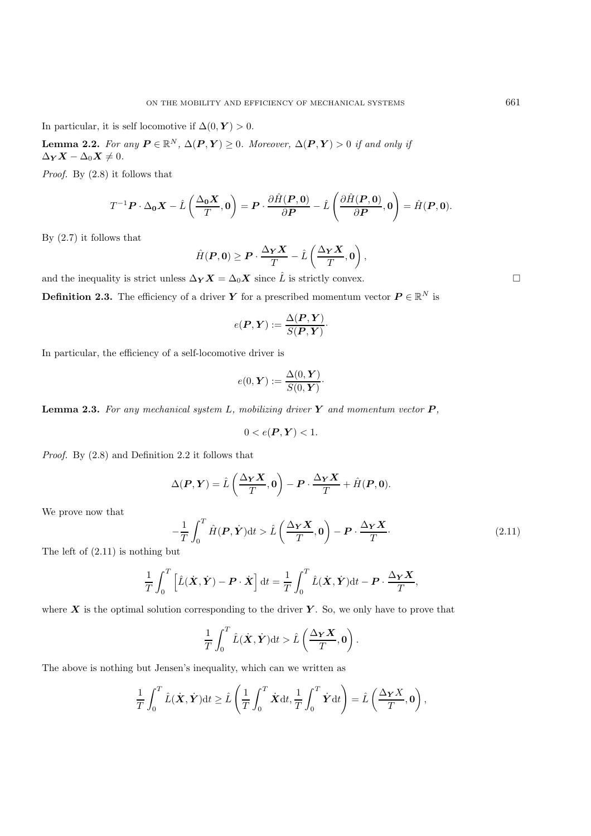In particular, it is self locomotive if  $\Delta(0, Y) > 0$ .

**Lemma 2.2.** *For any*  $P \in \mathbb{R}^N$ ,  $\Delta(P, Y) \geq 0$ *. Moreover,*  $\Delta(P, Y) > 0$  *if and only if*  $\Delta_Y X - \Delta_0 X \neq 0$ .

*Proof.* By (2.8) it follows that

$$
T^{-1}\boldsymbol{P}\cdot\Delta_{\boldsymbol{0}}\boldsymbol{X}-\hat{L}\left(\frac{\Delta_{\boldsymbol{0}}\boldsymbol{X}}{T},\boldsymbol{0}\right)=\boldsymbol{P}\cdot\frac{\partial\hat{H}(\boldsymbol{P},\boldsymbol{0})}{\partial\boldsymbol{P}}-\hat{L}\left(\frac{\partial\hat{H}(\boldsymbol{P},\boldsymbol{0})}{\partial\boldsymbol{P}},\boldsymbol{0}\right)=\hat{H}(\boldsymbol{P},\boldsymbol{0}).
$$

By (2.7) it follows that

$$
\hat{H}(\boldsymbol{P},\boldsymbol{0}) \geq \boldsymbol{P} \cdot \frac{\Delta_{\boldsymbol{Y}}\boldsymbol{X}}{T} - \hat{L}\left(\frac{\Delta_{\boldsymbol{Y}}\boldsymbol{X}}{T},\boldsymbol{0}\right),
$$

and the inequality is strict unless  $\Delta_Y X = \Delta_0 X$  since  $\hat{L}$  is strictly convex.

**Definition 2.3.** The efficiency of a driver *Y* for a prescribed momentum vector  $P \in \mathbb{R}^N$  is

$$
e(\boldsymbol{P},\boldsymbol{Y}) := \frac{\Delta(\boldsymbol{P},\boldsymbol{Y})}{S(\boldsymbol{P},\boldsymbol{Y})} \cdot
$$

In particular, the efficiency of a self-locomotive driver is

$$
e(0, \boldsymbol{Y}) := \frac{\Delta(0, \boldsymbol{Y})}{S(0, \boldsymbol{Y})}.
$$

**Lemma 2.3.** *For any mechanical system* L*, mobilizing driver Y and momentum vector P ,*

$$
0 < e(\boldsymbol{P}, \boldsymbol{Y}) < 1.
$$

*Proof.* By (2.8) and Definition 2.2 it follows that

$$
\Delta(\boldsymbol{P}, \boldsymbol{Y}) = \hat{L}\left(\frac{\Delta_{\boldsymbol{Y}}\boldsymbol{X}}{T}, \boldsymbol{0}\right) - \boldsymbol{P} \cdot \frac{\Delta_{\boldsymbol{Y}}\boldsymbol{X}}{T} + \hat{H}(\boldsymbol{P}, \boldsymbol{0}).
$$

We prove now that

$$
-\frac{1}{T}\int_0^T \hat{H}(\boldsymbol{P}, \dot{\boldsymbol{Y}})dt > \hat{L}\left(\frac{\Delta_{\boldsymbol{Y}}\boldsymbol{X}}{T}, 0\right) - \boldsymbol{P} \cdot \frac{\Delta_{\boldsymbol{Y}}\boldsymbol{X}}{T}.
$$
\n(2.11)

The left of (2.11) is nothing but

$$
\frac{1}{T} \int_0^T \left[ \hat{L}(\dot{\boldsymbol{X}}, \dot{\boldsymbol{Y}}) - \boldsymbol{P} \cdot \dot{\boldsymbol{X}} \right] dt = \frac{1}{T} \int_0^T \hat{L}(\dot{\boldsymbol{X}}, \dot{\boldsymbol{Y}}) dt - \boldsymbol{P} \cdot \frac{\Delta_{\boldsymbol{Y}} \boldsymbol{X}}{T},
$$

where  $\boldsymbol{X}$  is the optimal solution corresponding to the driver  $\boldsymbol{Y}$ . So, we only have to prove that

$$
\frac{1}{T} \int_0^T \hat{L}(\dot{\boldsymbol{X}}, \dot{\boldsymbol{Y}}) dt > \hat{L} \left( \frac{\Delta_{\boldsymbol{Y}} \boldsymbol{X}}{T}, 0 \right).
$$

The above is nothing but Jensen's inequality, which can we written as

$$
\frac{1}{T} \int_0^T \hat{L}(\dot{\mathbf{X}}, \dot{\mathbf{Y}}) dt \ge \hat{L} \left( \frac{1}{T} \int_0^T \dot{\mathbf{X}} dt, \frac{1}{T} \int_0^T \dot{\mathbf{Y}} dt \right) = \hat{L} \left( \frac{\Delta_Y X}{T}, 0 \right),
$$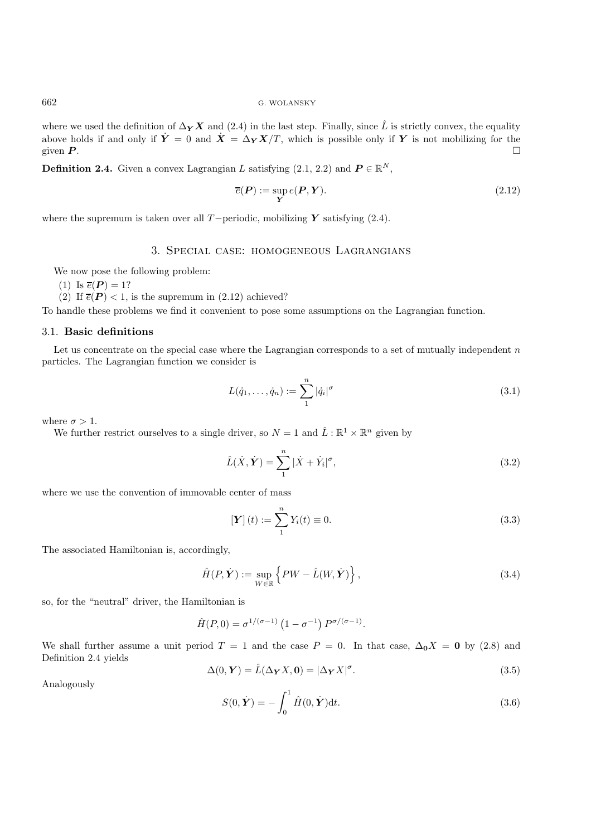where we used the definition of  $\Delta_Y X$  and (2.4) in the last step. Finally, since  $\hat{L}$  is strictly convex, the equality above holds if and only if  $\dot{Y} = 0$  and  $\dot{X} = \Delta_Y X/T$ , which is possible only if *Y* is not mobilizing for the given *P*. given  $P$ .

**Definition 2.4.** Given a convex Lagrangian L satisfying  $(2.1, 2.2)$  and  $P \in \mathbb{R}^N$ ,

$$
\overline{e}(\mathbf{P}) := \sup_{\mathbf{Y}} e(\mathbf{P}, \mathbf{Y}).
$$
\n(2.12)

where the supremum is taken over all T−periodic, mobilizing *Y* satisfying (2.4).

# 3. Special case: homogeneous Lagrangians

We now pose the following problem:

- (1) Is  $\overline{e}(\boldsymbol{P}) = 1$ ?
- (2) If  $\overline{e}(P) < 1$ , is the supremum in (2.12) achieved?

To handle these problems we find it convenient to pose some assumptions on the Lagrangian function.

# 3.1. **Basic definitions**

Let us concentrate on the special case where the Lagrangian corresponds to a set of mutually independent  $n$ particles. The Lagrangian function we consider is

$$
L(\dot{q}_1,\ldots,\dot{q}_n) := \sum_{1}^{n} |\dot{q}_i|^{\sigma}
$$
\n(3.1)

where  $\sigma > 1$ .

We further restrict ourselves to a single driver, so  $N = 1$  and  $\hat{L} : \mathbb{R}^1 \times \mathbb{R}^n$  given by

$$
\hat{L}(\dot{X}, \dot{Y}) = \sum_{1}^{n} |\dot{X} + \dot{Y}_i|^{\sigma}, \tag{3.2}
$$

where we use the convention of immovable center of mass

$$
\left[\mathbf{Y}\right](t) := \sum_{1}^{n} Y_i(t) \equiv 0. \tag{3.3}
$$

The associated Hamiltonian is, accordingly,

$$
\hat{H}(P,\dot{\boldsymbol{Y}}) := \sup_{W \in \mathbb{R}} \left\{ PW - \hat{L}(W,\dot{\boldsymbol{Y}}) \right\},\tag{3.4}
$$

so, for the "neutral" driver, the Hamiltonian is

$$
\hat{H}(P,0) = \sigma^{1/(\sigma-1)} (1 - \sigma^{-1}) P^{\sigma/(\sigma-1)}.
$$

We shall further assume a unit period  $T = 1$  and the case  $P = 0$ . In that case,  $\Delta_0 X = 0$  by (2.8) and Definition 2.4 yields

$$
\Delta(0, Y) = \hat{L}(\Delta_Y X, 0) = |\Delta_Y X|^{\sigma}.
$$
\n(3.5)

Analogously

$$
S(0, \dot{\boldsymbol{Y}}) = -\int_0^1 \hat{H}(0, \dot{\boldsymbol{Y}}) \mathrm{d}t.
$$
\n(3.6)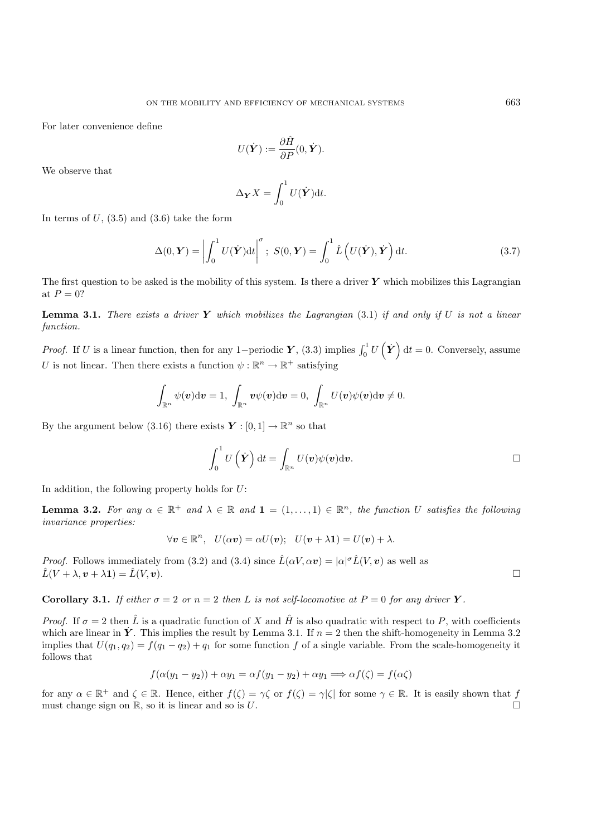For later convenience define

$$
U(\dot{\boldsymbol{Y}}) := \frac{\partial \hat{H}}{\partial P}(0, \dot{\boldsymbol{Y}}).
$$

We observe that

$$
\Delta_{\mathbf{Y}} X = \int_0^1 U(\dot{\mathbf{Y}}) dt.
$$

In terms of  $U$ ,  $(3.5)$  and  $(3.6)$  take the form

$$
\Delta(0, \boldsymbol{Y}) = \left| \int_0^1 U(\dot{\boldsymbol{Y}}) dt \right|^{\sigma}; \ S(0, \boldsymbol{Y}) = \int_0^1 \hat{L} \left( U(\dot{\boldsymbol{Y}}), \dot{\boldsymbol{Y}} \right) dt. \tag{3.7}
$$

The first question to be asked is the mobility of this system. Is there a driver *Y* which mobilizes this Lagrangian at  ${\cal P}=0?$ 

**Lemma 3.1.** *There exists a driver Y which mobilizes the Lagrangian* (3.1) *if and only if* U *is not a linear function.*

*Proof.* If U is a linear function, then for any 1–periodic **Y**, (3.3) implies  $\int_0^1 U(\dot{Y}) dt = 0$ . Conversely, assume U is not linear. Then there exists a function  $\psi : \mathbb{R}^n \to \mathbb{R}^+$  satisfying

$$
\int_{\mathbb{R}^n} \psi(\boldsymbol{v}) \mathrm{d} \boldsymbol{v} = 1, \ \int_{\mathbb{R}^n} \boldsymbol{v} \psi(\boldsymbol{v}) \mathrm{d} \boldsymbol{v} = 0, \ \int_{\mathbb{R}^n} U(\boldsymbol{v}) \psi(\boldsymbol{v}) \mathrm{d} \boldsymbol{v} \neq 0.
$$

By the argument below (3.16) there exists  $Y : [0, 1] \to \mathbb{R}^n$  so that

$$
\int_0^1 U(\dot{\boldsymbol{Y}})\,dt = \int_{\mathbb{R}^n} U(\boldsymbol{v})\psi(\boldsymbol{v})d\boldsymbol{v}.
$$

In addition, the following property holds for  $U$ :

**Lemma 3.2.** *For any*  $\alpha \in \mathbb{R}^+$  *and*  $\lambda \in \mathbb{R}$  *and*  $\mathbf{1} = (1, \ldots, 1) \in \mathbb{R}^n$ , *the function* U *satisfies the following invariance properties:*

$$
\forall \mathbf{v} \in \mathbb{R}^n, \quad U(\alpha \mathbf{v}) = \alpha U(\mathbf{v}); \quad U(\mathbf{v} + \lambda \mathbf{1}) = U(\mathbf{v}) + \lambda.
$$

*Proof.* Follows immediately from (3.2) and (3.4) since  $\hat{L}(\alpha V, \alpha v) = |\alpha|^{\sigma} \hat{L}(V, v)$  as well as  $\hat{L}(V + \lambda, v + \lambda \mathbf{1}) = \hat{L}(V, v).$ 

**Corollary 3.1.** *If either*  $\sigma = 2$  *or*  $n = 2$  *then L is not self-locomotive at*  $P = 0$  *for any driver*  $Y$ *.* 

*Proof.* If  $\sigma = 2$  then  $\hat{L}$  is a quadratic function of X and  $\hat{H}$  is also quadratic with respect to P, with coefficients which are linear in  $\dot{Y}$ . This implies the result by Lemma 3.1. If  $n = 2$  then the shift-homogeneity in Lemma 3.2 implies that  $U(q_1, q_2) = f(q_1 - q_2) + q_1$  for some function f of a single variable. From the scale-homogeneity it follows that

$$
f(\alpha(y_1 - y_2)) + \alpha y_1 = \alpha f(y_1 - y_2) + \alpha y_1 \Longrightarrow \alpha f(\zeta) = f(\alpha \zeta)
$$

for any  $\alpha \in \mathbb{R}^+$  and  $\zeta \in \mathbb{R}$ . Hence, either  $f(\zeta) = \gamma \zeta$  or  $f(\zeta) = \gamma |\zeta|$  for some  $\gamma \in \mathbb{R}$ . It is easily shown that f must change sign on  $\mathbb{R}$ , so it is linear and so is U.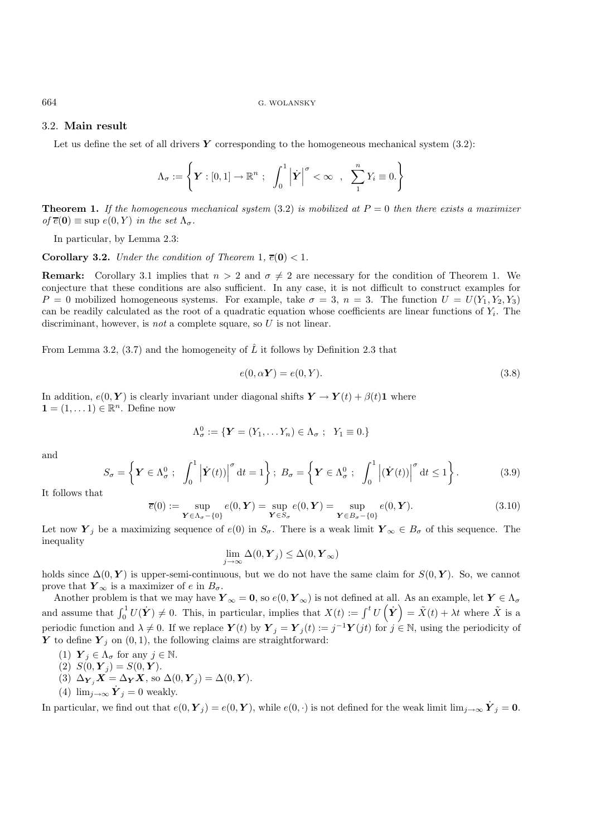### 3.2. **Main result**

Let us define the set of all drivers  $Y$  corresponding to the homogeneous mechanical system  $(3.2)$ :

$$
\Lambda_{\sigma} := \left\{ \boldsymbol{Y} : [0,1] \to \mathbb{R}^n ; \int_0^1 \left| \boldsymbol{\dot{Y}} \right|^{\sigma} < \infty , \sum_{1}^n Y_i \equiv 0. \right\}
$$

**Theorem 1.** *If the homogeneous mechanical system* (3.2) *is mobilized at* P = 0 *then there exists a maximizer*  $of \overline{e}(0) \equiv \sup e(0, Y)$  *in the set*  $\Lambda_{\sigma}$ .

In particular, by Lemma 2.3:

**Corollary 3.2.** *Under the condition of Theorem* 1*,*  $\overline{e}(\mathbf{0}) < 1$ *.* 

**Remark:** Corollary 3.1 implies that  $n > 2$  and  $\sigma \neq 2$  are necessary for the condition of Theorem 1. We conjecture that these conditions are also sufficient. In any case, it is not difficult to construct examples for  $P = 0$  mobilized homogeneous systems. For example, take  $\sigma = 3$ ,  $n = 3$ . The function  $U = U(Y_1, Y_2, Y_3)$ can be readily calculated as the root of a quadratic equation whose coefficients are linear functions of  $Y_i$ . The discriminant, however, is *not* a complete square, so U is not linear.

From Lemma 3.2, (3.7) and the homogeneity of  $\hat{L}$  it follows by Definition 2.3 that

$$
e(0, \alpha Y) = e(0, Y). \tag{3.8}
$$

In addition,  $e(0, Y)$  is clearly invariant under diagonal shifts  $Y \to Y(t) + \beta(t)1$  where  $\mathbf{1} = (1, \dots 1) \in \mathbb{R}^n$ . Define now

$$
\Lambda^0_{\sigma} := \{ \mathbf{Y} = (Y_1, \dots Y_n) \in \Lambda_{\sigma} ; \ \ Y_1 \equiv 0. \}
$$

and

$$
S_{\sigma} = \left\{ \boldsymbol{Y} \in \Lambda_{\sigma}^{0} ; \int_{0}^{1} \left| \dot{\boldsymbol{Y}}(t) \right|^{\sigma} \mathrm{d}t = 1 \right\} ; B_{\sigma} = \left\{ \boldsymbol{Y} \in \Lambda_{\sigma}^{0} ; \int_{0}^{1} \left| \left( \dot{\boldsymbol{Y}}(t) \right) \right|^{\sigma} \mathrm{d}t \le 1 \right\}.
$$
 (3.9)

It follows that

$$
\overline{e}(0) := \sup_{\mathbf{Y} \in \Lambda_{\sigma} - \{0\}} e(0, \mathbf{Y}) = \sup_{\mathbf{Y} \in S_{\sigma}} e(0, \mathbf{Y}) = \sup_{\mathbf{Y} \in B_{\sigma} - \{0\}} e(0, \mathbf{Y}).
$$
\n(3.10)

Let now  $Y_j$  be a maximizing sequence of  $e(0)$  in  $S_{\sigma}$ . There is a weak limit  $Y_{\infty} \in B_{\sigma}$  of this sequence. The inequality

$$
\lim_{j\to\infty}\Delta(0,\boldsymbol{Y}_j)\leq\Delta(0,\boldsymbol{Y}_\infty)
$$

holds since  $\Delta(0, Y)$  is upper-semi-continuous, but we do not have the same claim for  $S(0, Y)$ . So, we cannot prove that  $Y_{\infty}$  is a maximizer of e in  $B_{\sigma}$ .

Another problem is that we may have  $\boldsymbol{Y}_{\infty} = \boldsymbol{0}$ , so  $e(0, \boldsymbol{Y}_{\infty})$  is not defined at all. As an example, let  $\boldsymbol{Y} \in \Lambda_{\sigma}$ and assume that  $\int_0^1 U(\dot{Y}) \neq 0$ . This, in particular, implies that  $X(t) := \int^t U(\dot{Y}) = \tilde{X}(t) + \lambda t$  where  $\tilde{X}$  is a periodic function and  $\lambda \neq 0$ . If we replace  $Y(t)$  by  $Y_j = Y_j(t) := j^{-1}Y(jt)$  for  $j \in \mathbb{N}$ , using the periodicity of *Y* to define  $Y_i$  on  $(0, 1)$ , the following claims are straightforward:

- (1)  $\mathbf{Y}_j \in \Lambda_{\sigma}$  for any  $j \in \mathbb{N}$ .
- (2)  $S(0, Y_j) = S(0, Y)$ .
- (3)  $\Delta_{\boldsymbol{Y}_j} \boldsymbol{X} = \Delta_{\boldsymbol{Y}} \boldsymbol{X}$ , so  $\Delta(0, \boldsymbol{Y}_j) = \Delta(0, \boldsymbol{Y})$ .
- (4)  $\lim_{j\to\infty} \dot{\boldsymbol{Y}}_j = 0$  weakly.

In particular, we find out that  $e(0, Y_j) = e(0, Y)$ , while  $e(0, \cdot)$  is not defined for the weak limit lim<sub>j→∞</sub>  $\overline{Y}_j = 0$ .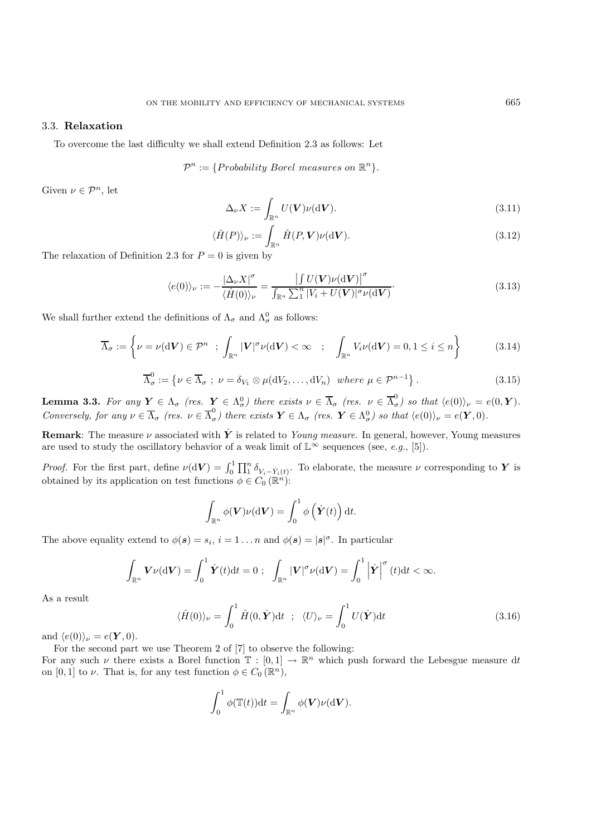## 3.3. **Relaxation**

To overcome the last difficulty we shall extend Definition 2.3 as follows: Let

$$
\mathcal{P}^n := \{Probability\ Borel\ measures\ on\ \mathbb{R}^n\}.
$$

Given  $\nu \in \mathcal{P}^n$ , let

$$
\Delta_{\nu} X := \int_{\mathbb{R}^n} U(\mathbf{V}) \nu(\mathrm{d}\mathbf{V}). \tag{3.11}
$$

$$
\langle \hat{H}(P) \rangle_{\nu} := \int_{\mathbb{R}^n} \hat{H}(P, \mathbf{V}) \nu(\mathrm{d}\mathbf{V}). \tag{3.12}
$$

The relaxation of Definition 2.3 for  $P = 0$  is given by

$$
\langle e(0) \rangle_{\nu} := -\frac{|\Delta_{\nu} X|^{\sigma}}{\langle \hat{H}(0) \rangle_{\nu}} = \frac{\left| \int U(\mathbf{V}) \nu(\mathrm{d}\mathbf{V}) \right|^{\sigma}}{\int_{\mathbb{R}^n} \sum_{i=1}^n |V_i + U(\mathbf{V})|^{\sigma} \nu(\mathrm{d}\mathbf{V})}.
$$
\n(3.13)

We shall further extend the definitions of  $\Lambda_{\sigma}$  and  $\Lambda_{\sigma}^{0}$  as follows:

$$
\overline{\Lambda}_{\sigma} := \left\{ \nu = \nu(\mathrm{d}\mathbf{V}) \in \mathcal{P}^n \; ; \; \int_{\mathbb{R}^n} |\mathbf{V}|^{\sigma} \nu(\mathrm{d}\mathbf{V}) < \infty \; ; \; \int_{\mathbb{R}^n} V_i \nu(\mathrm{d}\mathbf{V}) = 0, 1 \le i \le n \right\} \tag{3.14}
$$

$$
\overline{\Lambda}_{\sigma}^{0} := \{ \nu \in \overline{\Lambda}_{\sigma} \; ; \; \nu = \delta_{V_1} \otimes \mu(\mathrm{d}V_2, \dots, \mathrm{d}V_n) \; \text{ where } \mu \in \mathcal{P}^{n-1} \} \,.
$$

**Lemma 3.3.** For any  $Y \in \Lambda_{\sigma}$  (res.  $Y \in \Lambda_{\sigma}^{0}$ ) there exists  $\nu \in \overline{\Lambda}_{\sigma}$  (res.  $\nu \in \overline{\Lambda}_{\sigma}^{0}$ ) so that  $\langle e(0) \rangle_{\nu} = e(0, Y)$ . *Conversely, for any*  $\nu \in \overline{\Lambda}_{\sigma}$  (res.  $\nu \in \overline{\Lambda}_{\sigma}^{0}$ ) there exists  $\mathbf{Y} \in \Lambda_{\sigma}$  (res.  $\mathbf{Y} \in \Lambda_{\sigma}^{0}$ ) so that  $\langle e(0) \rangle_{\nu} = e(\mathbf{Y}, 0)$ .

**Remark**: The measure  $\nu$  associated with  $\dot{Y}$  is related to *Young measure*. In general, however, Young measures are used to study the oscillatory behavior of a weak limit of  $\mathbb{L}^{\infty}$  sequences (see, *e.g.*, [5]).

*Proof.* For the first part, define  $\nu(\mathrm{d}V) = \int_0^1 \prod_1^n \delta_{V_i - \dot{Y}_i(t)}$ . To elaborate, the measure  $\nu$  corresponding to *Y* is obtained by its application on test functions  $\phi \in C_0(\mathbb{R}^n)$ :

$$
\int_{\mathbb{R}^n} \phi(\mathbf{V}) \nu(\mathrm{d}\mathbf{V}) = \int_0^1 \phi\left(\dot{\mathbf{Y}}(t)\right) \mathrm{d}t.
$$

The above equality extend to  $\phi(\mathbf{s}) = s_i$ ,  $i = 1 \dots n$  and  $\phi(\mathbf{s}) = |\mathbf{s}|^{\sigma}$ . In particular

$$
\int_{\mathbb{R}^n} \mathbf{V} \nu(\mathrm{d} \mathbf{V}) = \int_0^1 \dot{\mathbf{Y}}(t) \mathrm{d} t = 0 \; ; \; \; \int_{\mathbb{R}^n} |\mathbf{V}|^\sigma \nu(\mathrm{d} \mathbf{V}) = \int_0^1 |\dot{\mathbf{Y}}|^\sigma(t) \mathrm{d} t < \infty.
$$

As a result

$$
\langle \hat{H}(0) \rangle_{\nu} = \int_0^1 \hat{H}(0, \dot{\mathbf{Y}}) dt \; ; \; \langle U \rangle_{\nu} = \int_0^1 U(\dot{\mathbf{Y}}) dt \tag{3.16}
$$

and  $\langle e(0) \rangle_{\nu} = e(\mathbf{Y}, 0)$ .

For the second part we use Theorem 2 of [7] to observe the following: For any such  $\nu$  there exists a Borel function  $\mathbb{T} : [0,1] \to \mathbb{R}^n$  which push forward the Lebesgue measure dt on [0, 1] to  $\nu$ . That is, for any test function  $\phi \in C_0(\mathbb{R}^n)$ ,

$$
\int_0^1 \phi(\mathbb{T}(t)) \mathrm{d}t = \int_{\mathbb{R}^n} \phi(\boldsymbol{V}) \nu(\mathrm{d}\boldsymbol{V}).
$$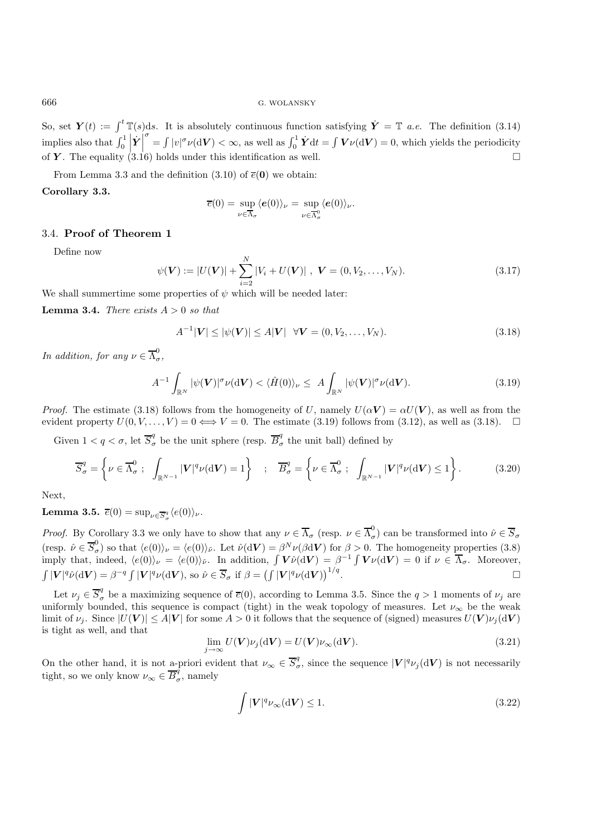So, set  $\boldsymbol{Y}(t) := \int^t \mathbb{T}(s)ds$ . It is absolutely continuous function satisfying  $\dot{\boldsymbol{Y}} = \mathbb{T}$  *a.e.* The definition (3.14) implies also that  $\int_0^1 \left| \dot{\boldsymbol{Y}} \right|$ of **Y**. The equality (3.16) holds under this identification as well.  $\int_{0}^{\sigma} = \int |v|^{\sigma} \nu(\mathrm{d}V) < \infty$ , as well as  $\int_{0}^{1} \dot{Y} dt = \int V \nu(\mathrm{d}V) = 0$ , which yields the periodicity

From Lemma 3.3 and the definition  $(3.10)$  of  $\overline{e}(0)$  we obtain:

### **Corollary 3.3.**

$$
\overline{e}(0) = \sup_{\nu \in \overline{\Lambda}_{\sigma}} \langle e(0) \rangle_{\nu} = \sup_{\nu \in \overline{\Lambda}_{\sigma}^{0}} \langle e(0) \rangle_{\nu}.
$$

#### 3.4. **Proof of Theorem 1**

Define now

$$
\psi(\mathbf{V}) := |U(\mathbf{V})| + \sum_{i=2}^{N} |V_i + U(\mathbf{V})|, \ \mathbf{V} = (0, V_2, \dots, V_N).
$$
 (3.17)

We shall summertime some properties of  $\psi$  which will be needed later:

**Lemma 3.4.** *There exists*  $A > 0$  *so that* 

$$
A^{-1}|\mathbf{V}| \le |\psi(\mathbf{V})| \le A|\mathbf{V}| \quad \forall \mathbf{V} = (0, V_2, \dots, V_N). \tag{3.18}
$$

*In addition, for any*  $\nu \in \overline{\Lambda}^0_{\sigma}$ ,

$$
A^{-1} \int_{\mathbb{R}^N} |\psi(\mathbf{V})|^\sigma \nu(\mathrm{d}\mathbf{V}) < \langle \hat{H}(0) \rangle_{\nu} \le A \int_{\mathbb{R}^N} |\psi(\mathbf{V})|^\sigma \nu(\mathrm{d}\mathbf{V}). \tag{3.19}
$$

*Proof.* The estimate (3.18) follows from the homogeneity of U, namely  $U(\alpha V) = \alpha U(V)$ , as well as from the evident property  $U(0,V,\ldots,V) = 0 \Longleftrightarrow V = 0$ . The estimate (3.19) follows from (3.12), as well as (3.18).  $\square$ 

Given  $1 < q < \sigma$ , let  $\overline{S}_{\sigma}^q$  be the unit sphere (resp.  $\overline{B}_{\sigma}^q$  the unit ball) defined by

$$
\overline{S}_{\sigma}^{q} = \left\{ \nu \in \overline{\Lambda}_{\sigma}^{0} \; ; \; \int_{\mathbb{R}^{N-1}} |V|^{q} \nu(\mathrm{d}V) = 1 \right\} \; ; \; \overline{B}_{\sigma}^{q} = \left\{ \nu \in \overline{\Lambda}_{\sigma}^{0} \; ; \; \int_{\mathbb{R}^{N-1}} |V|^{q} \nu(\mathrm{d}V) \le 1 \right\}.
$$
 (3.20)

Next,

**Lemma 3.5.**  $\overline{e}(0) = \sup_{\nu \in \overline{S}_{\sigma}^q} \langle e(0) \rangle_{\nu}$ .

*Proof.* By Corollary 3.3 we only have to show that any  $\nu \in \overline{\Lambda}_{\sigma}$  (resp.  $\nu \in \overline{\Lambda}_{\sigma}^0$ ) can be transformed into  $\hat{\nu} \in \overline{S}_{\sigma}$ (resp.  $\hat{\nu} \in \overline{S}_{\sigma}^{0}$ ) so that  $\langle e(0) \rangle_{\nu} = \langle e(0) \rangle_{\tilde{\nu}}$ . Let  $\hat{\nu}(\mathrm{d}V) = \beta^{N} \nu(\beta \mathrm{d}V)$  for  $\beta > 0$ . The homogeneity properties (3.8) imply that, indeed,  $\langle e(0)\rangle_{\nu} = \langle e(0)\rangle_{\tilde{\nu}}$ . In addition,  $\int \mathbf{V}\hat{\nu}(\mathrm{d}\mathbf{V}) = \beta^{-1} \int \mathbf{V}\nu(\mathrm{d}\mathbf{V}) = 0$  if  $\nu \in \overline{\Lambda}_{\sigma}$ . Moreover,  $\int |V|^q \hat{\nu}(\mathrm{d}V) = \beta^{-q} \int |V|^q \nu(\mathrm{d}V)$ , so  $\hat{\nu} \in \overline{S}_{\sigma}$  if  $\beta = \left(\int |V|^q \nu(\mathrm{d}V)\right)$  $\Box$ <sup>1/q</sup>.

Let  $\nu_j \in \overline{S}_{\sigma}^q$  be a maximizing sequence of  $\overline{e}(0)$ , according to Lemma 3.5. Since the  $q>1$  moments of  $\nu_j$  are uniformly bounded, this sequence is compact (tight) in the weak topology of measures. Let  $\nu_{\infty}$  be the weak limit of  $\nu_i$ . Since  $|U(V)| \leq A|V|$  for some  $A > 0$  it follows that the sequence of (signed) measures  $U(V)\nu_i(\text{d}V)$ is tight as well, and that

$$
\lim_{j \to \infty} U(\mathbf{V}) \nu_j(\mathrm{d}\mathbf{V}) = U(\mathbf{V}) \nu_{\infty}(\mathrm{d}\mathbf{V}). \tag{3.21}
$$

On the other hand, it is not a-priori evident that  $\nu_{\infty} \in \overline{S}_{\sigma}^q$ , since the sequence  $|V|^q \nu_j({\rm d}V)$  is not necessarily tight, so we only know  $\nu_{\infty} \in \overline{B_{\sigma}^q}$ , namely

$$
\int |\mathbf{V}|^q \nu_{\infty}(\mathrm{d}\mathbf{V}) \le 1. \tag{3.22}
$$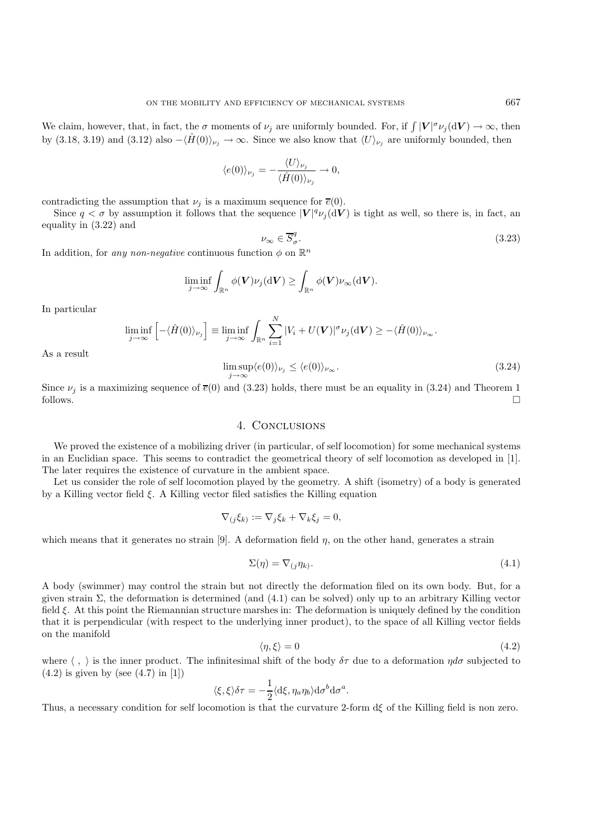We claim, however, that, in fact, the  $\sigma$  moments of  $\nu_j$  are uniformly bounded. For, if  $\int |V|^\sigma \nu_j(\mathrm{d}V) \to \infty$ , then by (3.18, 3.19) and (3.12) also  $-\langle \hat{H}(0)\rangle_{\nu_j} \to \infty$ . Since we also know that  $\langle U\rangle_{\nu_j}$  are uniformly bounded, then

$$
\langle e(0)\rangle_{\nu_j} = -\frac{\langle U\rangle_{\nu_j}}{\langle \hat{H}(0)\rangle_{\nu_j}} \to 0,
$$

contradicting the assumption that  $\nu_i$  is a maximum sequence for  $\overline{e}(0)$ .

Since  $q < \sigma$  by assumption it follows that the sequence  $|V|^q \nu_j({\rm d}V)$  is tight as well, so there is, in fact, an equality in (3.22) and

$$
\nu_{\infty} \in \overline{S}_{\sigma}^{q}.\tag{3.23}
$$

In addition, for *any non-negative* continuous function  $\phi$  on  $\mathbb{R}^n$ 

$$
\liminf_{j\to\infty}\int_{\mathbb{R}^n}\phi(\boldsymbol{V})\nu_j(\mathrm{d}\boldsymbol{V})\geq \int_{\mathbb{R}^n}\phi(\boldsymbol{V})\nu_{\infty}(\mathrm{d}\boldsymbol{V}).
$$

In particular

$$
\liminf_{j \to \infty} \left[ -\langle \hat{H}(0) \rangle_{\nu_j} \right] \equiv \liminf_{j \to \infty} \int_{\mathbb{R}^n} \sum_{i=1}^N |V_i + U(\mathbf{V})|^\sigma \nu_j(\mathrm{d}\mathbf{V}) \geq -\langle \hat{H}(0) \rangle_{\nu_\infty}.
$$

As a result

$$
\limsup_{j \to \infty} \langle e(0) \rangle_{\nu_j} \le \langle e(0) \rangle_{\nu_\infty}.
$$
\n(3.24)

Since  $\nu_j$  is a maximizing sequence of  $\bar{e}(0)$  and (3.23) holds, there must be an equality in (3.24) and Theorem 1 follows.  $\Box$ 

## 4. Conclusions

We proved the existence of a mobilizing driver (in particular, of self locomotion) for some mechanical systems in an Euclidian space. This seems to contradict the geometrical theory of self locomotion as developed in [1]. The later requires the existence of curvature in the ambient space.

Let us consider the role of self locomotion played by the geometry. A shift (isometry) of a body is generated by a Killing vector field  $\xi$ . A Killing vector filed satisfies the Killing equation

$$
\nabla_{(j}\xi_k) := \nabla_j \xi_k + \nabla_k \xi_j = 0,
$$

which means that it generates no strain [9]. A deformation field  $\eta$ , on the other hand, generates a strain

$$
\Sigma(\eta) = \nabla_{(j}\eta_k). \tag{4.1}
$$

A body (swimmer) may control the strain but not directly the deformation filed on its own body. But, for a given strain Σ, the deformation is determined (and (4.1) can be solved) only up to an arbitrary Killing vector field ξ. At this point the Riemannian structure marshes in: The deformation is uniquely defined by the condition that it is perpendicular (with respect to the underlying inner product), to the space of all Killing vector fields on the manifold

$$
\langle \eta, \xi \rangle = 0 \tag{4.2}
$$

where  $\langle , \rangle$  is the inner product. The infinitesimal shift of the body  $\delta\tau$  due to a deformation  $\eta d\sigma$  subjected to  $(4.2)$  is given by (see  $(4.7)$  in [1])

$$
\langle \xi, \xi \rangle \delta \tau = -\frac{1}{2} \langle d\xi, \eta_a \eta_b \rangle d\sigma^b d\sigma^a.
$$

Thus, a necessary condition for self locomotion is that the curvature 2-form dξ of the Killing field is non zero.